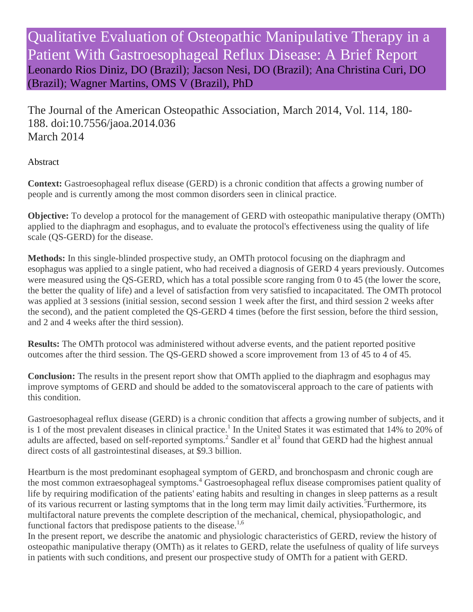Qualitative Evaluation of Osteopathic Manipulative Therapy in a Patient With Gastroesophageal Reflux Disease: A Brief Report [Leonardo Rios Diniz, DO \(Brazil\);](http://jaoa.org/solr/searchresults.aspx?author=Leonardo+Rios+Diniz) [Jacson Nesi, DO \(Brazil\);](http://jaoa.org/solr/searchresults.aspx?author=Jacson+Nesi) [Ana Christina Curi, DO](http://jaoa.org/solr/searchresults.aspx?author=Ana+Christina+Curi)  [\(Brazil\);](http://jaoa.org/solr/searchresults.aspx?author=Ana+Christina+Curi) [Wagner Martins, OMS V \(Brazil\), PhD](http://jaoa.org/solr/searchresults.aspx?author=Wagner+Martins)

The Journal of the American Osteopathic Association, March 2014, Vol. 114, 180- 188. doi:10.7556/jaoa.2014.036 March 2014

### Abstract

**Context:** Gastroesophageal reflux disease (GERD) is a chronic condition that affects a growing number of people and is currently among the most common disorders seen in clinical practice.

**Objective:** To develop a protocol for the management of GERD with osteopathic manipulative therapy (OMTh) applied to the diaphragm and esophagus, and to evaluate the protocol's effectiveness using the quality of life scale (QS-GERD) for the disease.

**Methods:** In this single-blinded prospective study, an OMTh protocol focusing on the diaphragm and esophagus was applied to a single patient, who had received a diagnosis of GERD 4 years previously. Outcomes were measured using the QS-GERD, which has a total possible score ranging from 0 to 45 (the lower the score, the better the quality of life) and a level of satisfaction from very satisfied to incapacitated. The OMTh protocol was applied at 3 sessions (initial session, second session 1 week after the first, and third session 2 weeks after the second), and the patient completed the QS-GERD 4 times (before the first session, before the third session, and 2 and 4 weeks after the third session).

**Results:** The OMTh protocol was administered without adverse events, and the patient reported positive outcomes after the third session. The QS-GERD showed a score improvement from 13 of 45 to 4 of 45.

**Conclusion:** The results in the present report show that OMTh applied to the diaphragm and esophagus may improve symptoms of GERD and should be added to the somatovisceral approach to the care of patients with this condition.

Gastroesophageal reflux disease (GERD) is a chronic condition that affects a growing number of subjects, and it is 1 of the most prevalent diseases in clinical practice.<sup>1</sup> In the United States it was estimated that 14% to 20% of adults are affected, based on self-reported symptoms.<sup>2</sup> Sandler et al<sup>3</sup> found that GERD had the highest annual direct costs of all gastrointestinal diseases, at \$9.3 billion.

Heartburn is the most predominant esophageal symptom of GERD, and bronchospasm and chronic cough are the most common extraesophageal symptoms.<sup>4</sup> Gastroesophageal reflux disease compromises patient quality of life by requiring modification of the patients' eating habits and resulting in changes in sleep patterns as a result of its various recurrent or lasting symptoms that in the long term may limit daily activities.<sup>5</sup>Furthermore, its multifactoral nature prevents the complete description of the mechanical, chemical, physiopathologic, and functional factors that predispose patients to the disease.<sup>1,6</sup>

In the present report, we describe the anatomic and physiologic characteristics of GERD, review the history of osteopathic manipulative therapy (OMTh) as it relates to GERD, relate the usefulness of quality of life surveys in patients with such conditions, and present our prospective study of OMTh for a patient with GERD.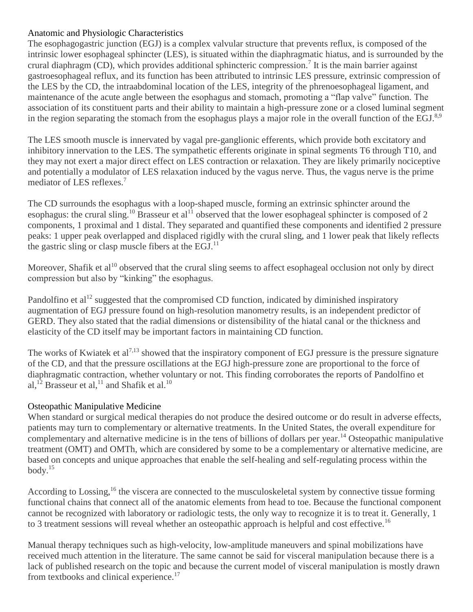#### Anatomic and Physiologic Characteristics

The esophagogastric junction (EGJ) is a complex valvular structure that prevents reflux, is composed of the intrinsic lower esophageal sphincter (LES), is situated within the diaphragmatic hiatus, and is surrounded by the crural diaphragm (CD), which provides additional sphincteric compression.<sup>7</sup> It is the main barrier against gastroesophageal reflux, and its function has been attributed to intrinsic LES pressure, extrinsic compression of the LES by the CD, the intraabdominal location of the LES, integrity of the phrenoesophageal ligament, and maintenance of the acute angle between the esophagus and stomach, promoting a "flap valve" function. The association of its constituent parts and their ability to maintain a high-pressure zone or a closed luminal segment in the region separating the stomach from the esophagus plays a major role in the overall function of the EGJ.<sup>8,9</sup>

The LES smooth muscle is innervated by vagal pre-ganglionic efferents, which provide both excitatory and inhibitory innervation to the LES. The sympathetic efferents originate in spinal segments T6 through T10, and they may not exert a major direct effect on LES contraction or relaxation. They are likely primarily nociceptive and potentially a modulator of LES relaxation induced by the vagus nerve. Thus, the vagus nerve is the prime mediator of LES reflexes.<sup>7</sup>

The CD surrounds the esophagus with a loop-shaped muscle, forming an extrinsic sphincter around the esophagus: the crural sling.<sup>10</sup> Brasseur et al<sup>11</sup> observed that the lower esophageal sphincter is composed of 2 components, 1 proximal and 1 distal. They separated and quantified these components and identified 2 pressure peaks: 1 upper peak overlapped and displaced rigidly with the crural sling, and 1 lower peak that likely reflects the gastric sling or clasp muscle fibers at the  $EGJ<sup>11</sup>$ .

Moreover, Shafik et al<sup>10</sup> observed that the crural sling seems to affect esophageal occlusion not only by direct compression but also by "kinking" the esophagus.

Pandolfino et  $al^{12}$  suggested that the compromised CD function, indicated by diminished inspiratory augmentation of EGJ pressure found on high-resolution manometry results, is an independent predictor of GERD. They also stated that the radial dimensions or distensibility of the hiatal canal or the thickness and elasticity of the CD itself may be important factors in maintaining CD function.

The works of Kwiatek et  $al^{7,13}$  showed that the inspiratory component of EGJ pressure is the pressure signature of the CD, and that the pressure oscillations at the EGJ high-pressure zone are proportional to the force of diaphragmatic contraction, whether voluntary or not. This finding corroborates the reports of Pandolfino et al,<sup>12</sup> Brasseur et al,<sup>11</sup> and Shafik et al.<sup>10</sup>

## Osteopathic Manipulative Medicine

When standard or surgical medical therapies do not produce the desired outcome or do result in adverse effects, patients may turn to complementary or alternative treatments. In the United States, the overall expenditure for complementary and alternative medicine is in the tens of billions of dollars per year.<sup>14</sup> Osteopathic manipulative treatment (OMT) and OMTh, which are considered by some to be a complementary or alternative medicine, are based on concepts and unique approaches that enable the self-healing and self-regulating process within the body. $15$ 

According to Lossing,<sup>16</sup> the viscera are connected to the musculoskeletal system by connective tissue forming functional chains that connect all of the anatomic elements from head to toe. Because the functional component cannot be recognized with laboratory or radiologic tests, the only way to recognize it is to treat it. Generally, 1 to 3 treatment sessions will reveal whether an osteopathic approach is helpful and cost effective.<sup>16</sup>

Manual therapy techniques such as high-velocity, low-amplitude maneuvers and spinal mobilizations have received much attention in the literature. The same cannot be said for visceral manipulation because there is a lack of published research on the topic and because the current model of visceral manipulation is mostly drawn from textbooks and clinical experience.<sup>17</sup>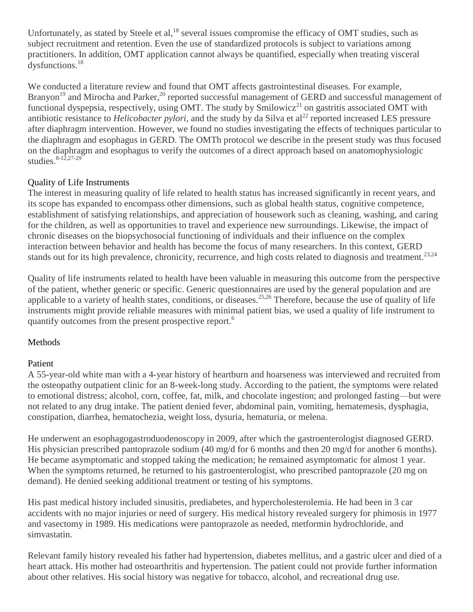Unfortunately, as stated by Steele et al,<sup>18</sup> several issues compromise the efficacy of OMT studies, such as subject recruitment and retention. Even the use of standardized protocols is subject to variations among practitioners. In addition, OMT application cannot always be quantified, especially when treating visceral dysfunctions.<sup>18</sup>

We conducted a literature review and found that OMT affects gastrointestinal diseases. For example, Branyon<sup>19</sup> and Mirocha and Parker,<sup>20</sup> reported successful management of GERD and successful management of functional dyspepsia, respectively, using OMT. The study by  $\text{Smilowicz}^{21}$  on gastritis associated OMT with antibiotic resistance to *Helicobacter pylori*, and the study by da Silva et al<sup>22</sup> reported increased LES pressure after diaphragm intervention. However, we found no studies investigating the effects of techniques particular to the diaphragm and esophagus in GERD. The OMTh protocol we describe in the present study was thus focused on the diaphragm and esophagus to verify the outcomes of a direct approach based on anatomophysiologic studies. $8-12,27-29$ 

## Quality of Life Instruments

The interest in measuring quality of life related to health status has increased significantly in recent years, and its scope has expanded to encompass other dimensions, such as global health status, cognitive competence, establishment of satisfying relationships, and appreciation of housework such as cleaning, washing, and caring for the children, as well as opportunities to travel and experience new surroundings. Likewise, the impact of chronic diseases on the biopsychosocial functioning of individuals and their influence on the complex interaction between behavior and health has become the focus of many researchers. In this context, GERD stands out for its high prevalence, chronicity, recurrence, and high costs related to diagnosis and treatment.<sup>23,24</sup>

Quality of life instruments related to health have been valuable in measuring this outcome from the perspective of the patient, whether generic or specific. Generic questionnaires are used by the general population and are applicable to a variety of health states, conditions, or diseases.<sup>25,26</sup> Therefore, because the use of quality of life instruments might provide reliable measures with minimal patient bias, we used a quality of life instrument to quantify outcomes from the present prospective report.<sup>6</sup>

# Methods

## Patient

A 55-year-old white man with a 4-year history of heartburn and hoarseness was interviewed and recruited from the osteopathy outpatient clinic for an 8-week-long study. According to the patient, the symptoms were related to emotional distress; alcohol, corn, coffee, fat, milk, and chocolate ingestion; and prolonged fasting—but were not related to any drug intake. The patient denied fever, abdominal pain, vomiting, hematemesis, dysphagia, constipation, diarrhea, hematochezia, weight loss, dysuria, hematuria, or melena.

He underwent an esophagogastroduodenoscopy in 2009, after which the gastroenterologist diagnosed GERD. His physician prescribed pantoprazole sodium (40 mg/d for 6 months and then 20 mg/d for another 6 months). He became asymptomatic and stopped taking the medication; he remained asymptomatic for almost 1 year. When the symptoms returned, he returned to his gastroenterologist, who prescribed pantoprazole (20 mg on demand). He denied seeking additional treatment or testing of his symptoms.

His past medical history included sinusitis, prediabetes, and hypercholesterolemia. He had been in 3 car accidents with no major injuries or need of surgery. His medical history revealed surgery for phimosis in 1977 and vasectomy in 1989. His medications were pantoprazole as needed, metformin hydrochloride, and simvastatin.

Relevant family history revealed his father had hypertension, diabetes mellitus, and a gastric ulcer and died of a heart attack. His mother had osteoarthritis and hypertension. The patient could not provide further information about other relatives. His social history was negative for tobacco, alcohol, and recreational drug use.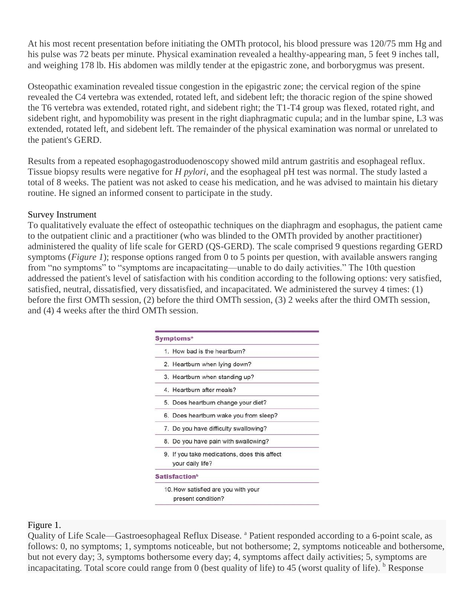At his most recent presentation before initiating the OMTh protocol, his blood pressure was 120/75 mm Hg and his pulse was 72 beats per minute. Physical examination revealed a healthy-appearing man, 5 feet 9 inches tall, and weighing 178 lb. His abdomen was mildly tender at the epigastric zone, and borborygmus was present.

Osteopathic examination revealed tissue congestion in the epigastric zone; the cervical region of the spine revealed the C4 vertebra was extended, rotated left, and sidebent left; the thoracic region of the spine showed the T6 vertebra was extended, rotated right, and sidebent right; the T1-T4 group was flexed, rotated right, and sidebent right, and hypomobility was present in the right diaphragmatic cupula; and in the lumbar spine, L3 was extended, rotated left, and sidebent left. The remainder of the physical examination was normal or unrelated to the patient's GERD.

Results from a repeated esophagogastroduodenoscopy showed mild antrum gastritis and esophageal reflux. Tissue biopsy results were negative for *H pylori*, and the esophageal pH test was normal. The study lasted a total of 8 weeks. The patient was not asked to cease his medication, and he was advised to maintain his dietary routine. He signed an informed consent to participate in the study.

#### Survey Instrument

To qualitatively evaluate the effect of osteopathic techniques on the diaphragm and esophagus, the patient came to the outpatient clinic and a practitioner (who was blinded to the OMTh provided by another practitioner) administered the quality of life scale for GERD (QS-GERD). The scale comprised 9 questions regarding GERD symptoms (*Figure 1*); response options ranged from 0 to 5 points per question, with available answers ranging from "no symptoms" to "symptoms are incapacitating—unable to do daily activities." The 10th question addressed the patient's level of satisfaction with his condition according to the following options: very satisfied, satisfied, neutral, dissatisfied, very dissatisfied, and incapacitated. We administered the survey 4 times: (1) before the first OMTh session, (2) before the third OMTh session, (3) 2 weeks after the third OMTh session, and (4) 4 weeks after the third OMTh session.

| 1. How bad is the heartburn?                                     |
|------------------------------------------------------------------|
| 2. Heartburn when lying down?                                    |
| 3. Heartburn when standing up?                                   |
| 4. Heartburn after meals?                                        |
| 5. Does heartburn change your diet?                              |
| 6. Does heartburn wake you from sleep?                           |
| 7. Do you have difficulty swallowing?                            |
| 8. Do you have pain with swallowing?                             |
| 9. If you take medications, does this affect<br>your daily life? |
| <b>Satisfaction</b> <sup>b</sup>                                 |
| 10. How satisfied are you with your<br>present condition?        |

#### Figure 1.

Quality of Life Scale—Gastroesophageal Reflux Disease. <sup>a</sup> Patient responded according to a 6-point scale, as follows: 0, no symptoms; 1, symptoms noticeable, but not bothersome; 2, symptoms noticeable and bothersome, but not every day; 3, symptoms bothersome every day; 4, symptoms affect daily activities; 5, symptoms are incapacitating. Total score could range from 0 (best quality of life) to 45 (worst quality of life).  $<sup>b</sup>$  Response</sup>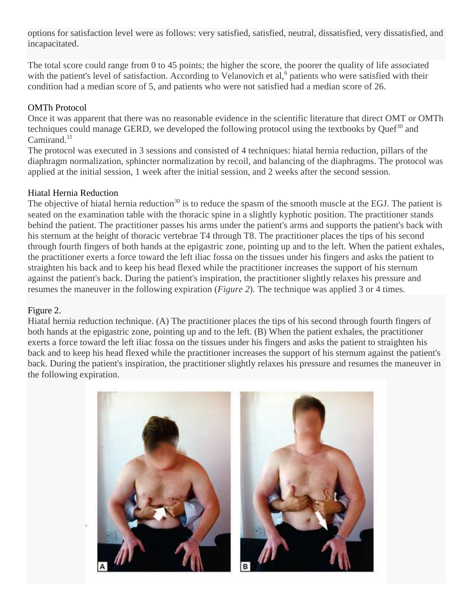options for satisfaction level were as follows: very satisfied, satisfied, neutral, dissatisfied, very dissatisfied, and incapacitated.

The total score could range from 0 to 45 points; the higher the score, the poorer the quality of life associated with the patient's level of satisfaction. According to Velanovich et al,<sup>6</sup> patients who were satisfied with their condition had a median score of 5, and patients who were not satisfied had a median score of 26.

#### OMTh Protocol

Once it was apparent that there was no reasonable evidence in the scientific literature that direct OMT or OMTh techniques could manage GERD, we developed the following protocol using the textbooks by Quef<sup>30</sup> and Camirand.<sup>31</sup>

The protocol was executed in 3 sessions and consisted of 4 techniques: hiatal hernia reduction, pillars of the diaphragm normalization, sphincter normalization by recoil, and balancing of the diaphragms. The protocol was applied at the initial session, 1 week after the initial session, and 2 weeks after the second session.

#### Hiatal Hernia Reduction

The objective of hiatal hernia reduction<sup>30</sup> is to reduce the spasm of the smooth muscle at the EGJ. The patient is seated on the examination table with the thoracic spine in a slightly kyphotic position. The practitioner stands behind the patient. The practitioner passes his arms under the patient's arms and supports the patient's back with his sternum at the height of thoracic vertebrae T4 through T8. The practitioner places the tips of his second through fourth fingers of both hands at the epigastric zone, pointing up and to the left. When the patient exhales, the practitioner exerts a force toward the left iliac fossa on the tissues under his fingers and asks the patient to straighten his back and to keep his head flexed while the practitioner increases the support of his sternum against the patient's back. During the patient's inspiration, the practitioner slightly relaxes his pressure and resumes the maneuver in the following expiration (*Figure 2*). The technique was applied 3 or 4 times.

#### Figure 2.

Hiatal hernia reduction technique. (A) The practitioner places the tips of his second through fourth fingers of both hands at the epigastric zone, pointing up and to the left. (B) When the patient exhales, the practitioner exerts a force toward the left iliac fossa on the tissues under his fingers and asks the patient to straighten his back and to keep his head flexed while the practitioner increases the support of his sternum against the patient's back. During the patient's inspiration, the practitioner slightly relaxes his pressure and resumes the maneuver in the following expiration.

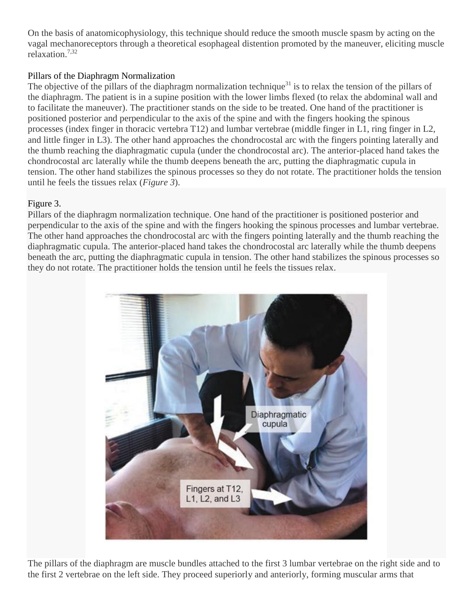On the basis of anatomicophysiology, this technique should reduce the smooth muscle spasm by acting on the vagal mechanoreceptors through a theoretical esophageal distention promoted by the maneuver, eliciting muscle relaxation.7,32

### Pillars of the Diaphragm Normalization

The objective of the pillars of the diaphragm normalization technique<sup>31</sup> is to relax the tension of the pillars of the diaphragm. The patient is in a supine position with the lower limbs flexed (to relax the abdominal wall and to facilitate the maneuver). The practitioner stands on the side to be treated. One hand of the practitioner is positioned posterior and perpendicular to the axis of the spine and with the fingers hooking the spinous processes (index finger in thoracic vertebra T12) and lumbar vertebrae (middle finger in L1, ring finger in L2, and little finger in L3). The other hand approaches the chondrocostal arc with the fingers pointing laterally and the thumb reaching the diaphragmatic cupula (under the chondrocostal arc). The anterior-placed hand takes the chondrocostal arc laterally while the thumb deepens beneath the arc, putting the diaphragmatic cupula in tension. The other hand stabilizes the spinous processes so they do not rotate. The practitioner holds the tension until he feels the tissues relax (*Figure 3*).

### Figure 3.

Pillars of the diaphragm normalization technique. One hand of the practitioner is positioned posterior and perpendicular to the axis of the spine and with the fingers hooking the spinous processes and lumbar vertebrae. The other hand approaches the chondrocostal arc with the fingers pointing laterally and the thumb reaching the diaphragmatic cupula. The anterior-placed hand takes the chondrocostal arc laterally while the thumb deepens beneath the arc, putting the diaphragmatic cupula in tension. The other hand stabilizes the spinous processes so they do not rotate. The practitioner holds the tension until he feels the tissues relax.



The pillars of the diaphragm are muscle bundles attached to the first 3 lumbar vertebrae on the right side and to the first 2 vertebrae on the left side. They proceed superiorly and anteriorly, forming muscular arms that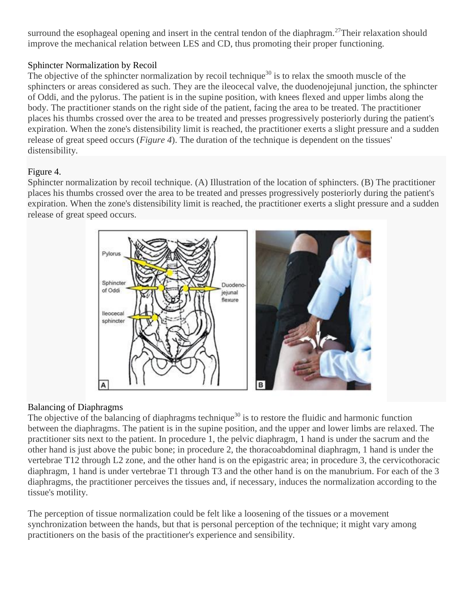surround the esophageal opening and insert in the central tendon of the diaphragm.<sup>27</sup>Their relaxation should improve the mechanical relation between LES and CD, thus promoting their proper functioning.

## Sphincter Normalization by Recoil

The objective of the sphincter normalization by recoil technique<sup>30</sup> is to relax the smooth muscle of the sphincters or areas considered as such. They are the ileocecal valve, the duodenojejunal junction, the sphincter of Oddi, and the pylorus. The patient is in the supine position, with knees flexed and upper limbs along the body. The practitioner stands on the right side of the patient, facing the area to be treated. The practitioner places his thumbs crossed over the area to be treated and presses progressively posteriorly during the patient's expiration. When the zone's distensibility limit is reached, the practitioner exerts a slight pressure and a sudden release of great speed occurs (*Figure 4*). The duration of the technique is dependent on the tissues' distensibility.

### Figure 4.

Sphincter normalization by recoil technique. (A) Illustration of the location of sphincters. (B) The practitioner places his thumbs crossed over the area to be treated and presses progressively posteriorly during the patient's expiration. When the zone's distensibility limit is reached, the practitioner exerts a slight pressure and a sudden release of great speed occurs.



## Balancing of Diaphragms

The objective of the balancing of diaphragms technique<sup>30</sup> is to restore the fluidic and harmonic function between the diaphragms. The patient is in the supine position, and the upper and lower limbs are relaxed. The practitioner sits next to the patient. In procedure 1, the pelvic diaphragm, 1 hand is under the sacrum and the other hand is just above the pubic bone; in procedure 2, the thoracoabdominal diaphragm, 1 hand is under the vertebrae T12 through L2 zone, and the other hand is on the epigastric area; in procedure 3, the cervicothoracic diaphragm, 1 hand is under vertebrae T1 through T3 and the other hand is on the manubrium. For each of the 3 diaphragms, the practitioner perceives the tissues and, if necessary, induces the normalization according to the tissue's motility.

The perception of tissue normalization could be felt like a loosening of the tissues or a movement synchronization between the hands, but that is personal perception of the technique; it might vary among practitioners on the basis of the practitioner's experience and sensibility.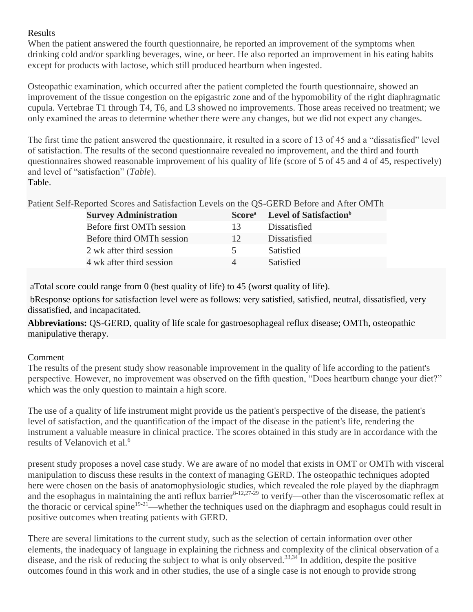### Results

When the patient answered the fourth questionnaire, he reported an improvement of the symptoms when drinking cold and/or sparkling beverages, wine, or beer. He also reported an improvement in his eating habits except for products with lactose, which still produced heartburn when ingested.

Osteopathic examination, which occurred after the patient completed the fourth questionnaire, showed an improvement of the tissue congestion on the epigastric zone and of the hypomobility of the right diaphragmatic cupula. Vertebrae T1 through T4, T6, and L3 showed no improvements. Those areas received no treatment; we only examined the areas to determine whether there were any changes, but we did not expect any changes.

The first time the patient answered the questionnaire, it resulted in a score of 13 of 45 and a "dissatisfied" level of satisfaction. The results of the second questionnaire revealed no improvement, and the third and fourth questionnaires showed reasonable improvement of his quality of life (score of 5 of 45 and 4 of 45, respectively) and level of "satisfaction" (*Table*). Table.

Patient Self-Reported Scores and Satisfaction Levels on the QS-GERD Before and After OMTh

| <b>Survey Administration</b> | Score <sup>a</sup> | Level of Satisfaction <sup>b</sup> |
|------------------------------|--------------------|------------------------------------|
| Before first OMTh session    | 13                 | Dissatisfied                       |
| Before third OMTh session    | 12                 | Dissatisfied                       |
| 2 wk after third session     | 5.                 | <b>Satisfied</b>                   |
| 4 wk after third session     | Δ                  | <b>Satisfied</b>                   |

aTotal score could range from 0 (best quality of life) to 45 (worst quality of life).

bResponse options for satisfaction level were as follows: very satisfied, satisfied, neutral, dissatisfied, very dissatisfied, and incapacitated.

**Abbreviations:** QS-GERD, quality of life scale for gastroesophageal reflux disease; OMTh, osteopathic manipulative therapy.

## Comment

The results of the present study show reasonable improvement in the quality of life according to the patient's perspective. However, no improvement was observed on the fifth question, "Does heartburn change your diet?" which was the only question to maintain a high score.

The use of a quality of life instrument might provide us the patient's perspective of the disease, the patient's level of satisfaction, and the quantification of the impact of the disease in the patient's life, rendering the instrument a valuable measure in clinical practice. The scores obtained in this study are in accordance with the results of Velanovich et al.<sup>6</sup>

present study proposes a novel case study. We are aware of no model that exists in OMT or OMTh with visceral manipulation to discuss these results in the context of managing GERD. The osteopathic techniques adopted here were chosen on the basis of anatomophysiologic studies, which revealed the role played by the diaphragm and the esophagus in maintaining the anti reflux barrier $8-12,27-29$  to verify—other than the viscerosomatic reflex at the thoracic or cervical spine<sup>19-21</sup>—whether the techniques used on the diaphragm and esophagus could result in positive outcomes when treating patients with GERD.

There are several limitations to the current study, such as the selection of certain information over other elements, the inadequacy of language in explaining the richness and complexity of the clinical observation of a disease, and the risk of reducing the subject to what is only observed.<sup>33,34</sup> In addition, despite the positive outcomes found in this work and in other studies, the use of a single case is not enough to provide strong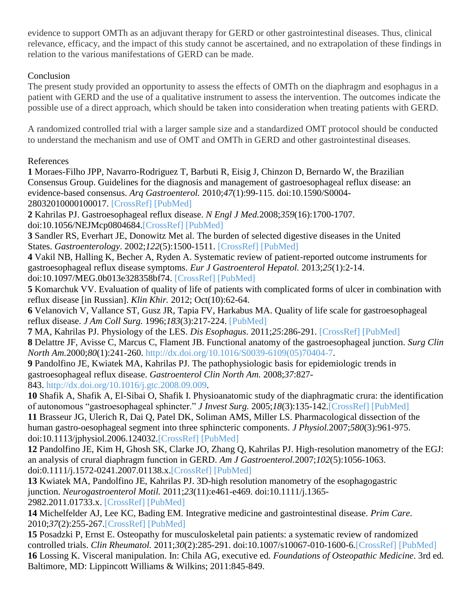evidence to support OMTh as an adjuvant therapy for GERD or other gastrointestinal diseases. Thus, clinical relevance, efficacy, and the impact of this study cannot be ascertained, and no extrapolation of these findings in relation to the various manifestations of GERD can be made.

## **Conclusion**

The present study provided an opportunity to assess the effects of OMTh on the diaphragm and esophagus in a patient with GERD and the use of a qualitative instrument to assess the intervention. The outcomes indicate the possible use of a direct approach, which should be taken into consideration when treating patients with GERD.

A randomized controlled trial with a larger sample size and a standardized OMT protocol should be conducted to understand the mechanism and use of OMT and OMTh in GERD and other gastrointestinal diseases.

#### References

**1** Moraes-Filho JPP, Navarro-Rodriguez T, Barbuti R, Eisig J, Chinzon D, Bernardo W, the Brazilian Consensus Group. Guidelines for the diagnosis and management of gastroesophageal reflux disease: an evidence-based consensus. *Arq Gastroenterol.* 2010;*47*(1):99-115. doi:10.1590/S0004- 28032010000100017. [\[CrossRef\]](http://dx.doi.org/10.1590/S0004-28032010000100017) [\[PubMed\]](http://www.ncbi.nlm.nih.gov/pubmed/20520983)

**2** Kahrilas PJ. Gastroesophageal reflux disease. *N Engl J Med.*2008;*359*(16):1700-1707. doi:10.1056/NEJMcp0804684[.\[CrossRef\]](http://dx.doi.org/10.1056/NEJMcp0804684) [\[PubMed\]](http://www.ncbi.nlm.nih.gov/pubmed/18923172)

**3** Sandler RS, Everhart JE, Donowitz Met al. The burden of selected digestive diseases in the United States. *Gastroenterology*. 2002;*122*(5):1500-1511. [\[CrossRef\]](http://dx.doi.org/10.1053/gast.2002.32978) [\[PubMed\]](http://www.ncbi.nlm.nih.gov/pubmed/11984534)

**4** Vakil NB, Halling K, Becher A, Ryden A. Systematic review of patient-reported outcome instruments for gastroesophageal reflux disease symptoms. *Eur J Gastroenterol Hepatol.* 2013;*25*(1):2-14. doi:10.1097/MEG.0b013e328358bf74. [\[CrossRef\]](http://dx.doi.org/10.1097/MEG.0b013e328358bf74) [\[PubMed\]](http://www.ncbi.nlm.nih.gov/pubmed/23202695)

**5** Komarchuk VV. Evaluation of quality of life of patients with complicated forms of ulcer in combination with reflux disease [in Russian]. *Klin Khir.* 2012; Oct(10):62-64.

**6** Velanovich V, Vallance ST, Gusz JR, Tapia FV, Harkabus MA. Quality of life scale for gastroesophageal reflux disease. *J Am Coll Surg.* 1996;*183*(3):217-224. [\[PubMed\]](http://www.ncbi.nlm.nih.gov/pubmed/8784314)

**7** MA, Kahrilas PJ. Physiology of the LES. *Dis Esophagus*. 2011;*25*:286-291. [\[CrossRef\]](http://dx.doi.org/10.1111/des.2012.25.issue-4) [\[PubMed\]](http://www.ncbi.nlm.nih.gov/pubmed/21385287) **8** Delattre JF, Avisse C, Marcus C, Flament JB. Functional anatomy of the gastroesophageal junction. *Surg Clin North Am.*2000;*80*(1):241-260. [http://dx.doi.org/10.1016/S0039-6109\(05\)70404-7.](http://dx.doi.org/10.1016/S0039-6109(05)70404-7)

**9** Pandolfino JE, Kwiatek MA, Kahrilas PJ. The pathophysiologic basis for epidemiologic trends in gastroesophageal reflux disease. *Gastroenterol Clin North Am.* 2008;*37*:827- 843. [http://dx.doi.org/10.1016/j.gtc.2008.09.009.](http://dx.doi.org/10.1016/j.gtc.2008.09.009)

**10** Shafik A, Shafik A, El-Sibai O, Shafik I. Physioanatomic study of the diaphragmatic crura: the identification of autonomous "gastroesophageal sphincter." *J Invest Surg.* 2005;*18*(3):135-142[.\[CrossRef\]](http://dx.doi.org/10.1080/08941930590956183) [\[PubMed\]](http://www.ncbi.nlm.nih.gov/pubmed/16036785) **11** Brasseur JG, Ulerich R, Dai Q, Patel DK, Soliman AMS, Miller LS. Pharmacological dissection of the human gastro-oesophageal segment into three sphincteric components. *J Physiol.*2007;*580*(3):961-975. doi:10.1113/jphysiol.2006.124032[.\[CrossRef\]](http://dx.doi.org/10.1113/jphysiol.2006.124032) [\[PubMed\]](http://www.ncbi.nlm.nih.gov/pubmed/17289789)

**12** Pandolfino JE, Kim H, Ghosh SK, Clarke JO, Zhang Q, Kahrilas PJ. High-resolution manometry of the EGJ: an analysis of crural diaphragm function in GERD. *Am J Gastroenterol.*2007;*102*(5):1056-1063. doi:0.1111/j.1572-0241.2007.01138.x[.\[CrossRef\]](http://dx.doi.org/10.1111/ajg.2007.102.issue-5) [\[PubMed\]](http://www.ncbi.nlm.nih.gov/pubmed/17319930)

**13** Kwiatek MA, Pandolfino JE, Kahrilas PJ. 3D-high resolution manometry of the esophagogastric junction. *Neurogastroenterol Motil.* 2011;*23*(11):e461-e469. doi:10.1111/j.1365- 2982.2011.01733.x. [\[CrossRef\]](http://dx.doi.org/10.1111/nmo.2011.23.issue-11) [\[PubMed\]](http://www.ncbi.nlm.nih.gov/pubmed/21595803)

**14** Michelfelder AJ, Lee KC, Bading EM. Integrative medicine and gastrointestinal disease. *Prim Care*. 2010;*37*(2):255-267[.\[CrossRef\]](http://dx.doi.org/10.1016/j.pop.2010.02.003) [\[PubMed\]](http://www.ncbi.nlm.nih.gov/pubmed/20493335)

**15** Posadzki P, Ernst E. Osteopathy for musculoskeletal pain patients: a systematic review of randomized controlled trials. *Clin Rheumatol.* 2011;*30*(2):285-291. doi:10.1007/s10067-010-1600-6[.\[CrossRef\]](http://dx.doi.org/10.1007/s10067-010-1600-6) [\[PubMed\]](http://www.ncbi.nlm.nih.gov/pubmed/21053038) **16** Lossing K. Visceral manipulation. In: Chila AG, executive ed. *Foundations of Osteopathic Medicine*. 3rd ed. Baltimore, MD: Lippincott Williams & Wilkins; 2011:845-849.